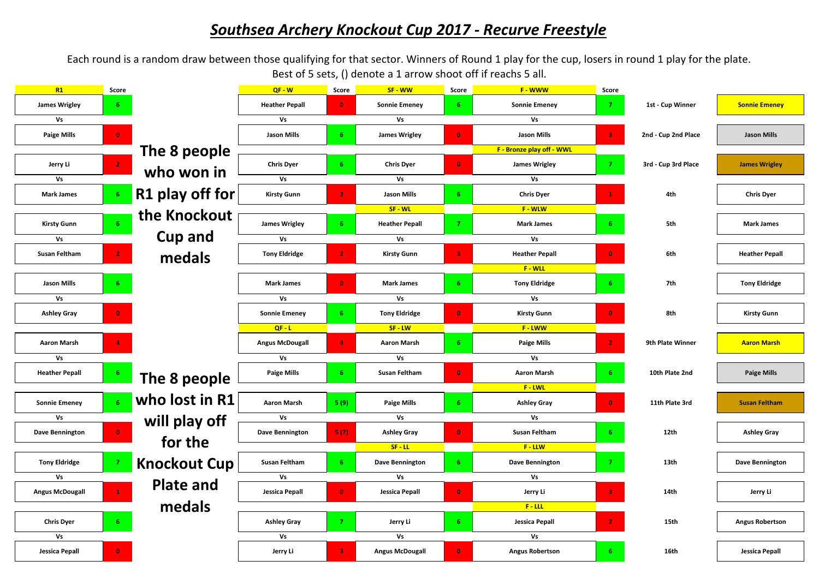## *Southsea Archery Knockout Cup 2017 - Recurve Freestyle*

Each round is a random draw between those qualifying for that sector. Winners of Round 1 play for the cup, losers in round 1 play for the plate. Best of 5 sets, () denote a 1 arrow shoot off if reachs 5 all.

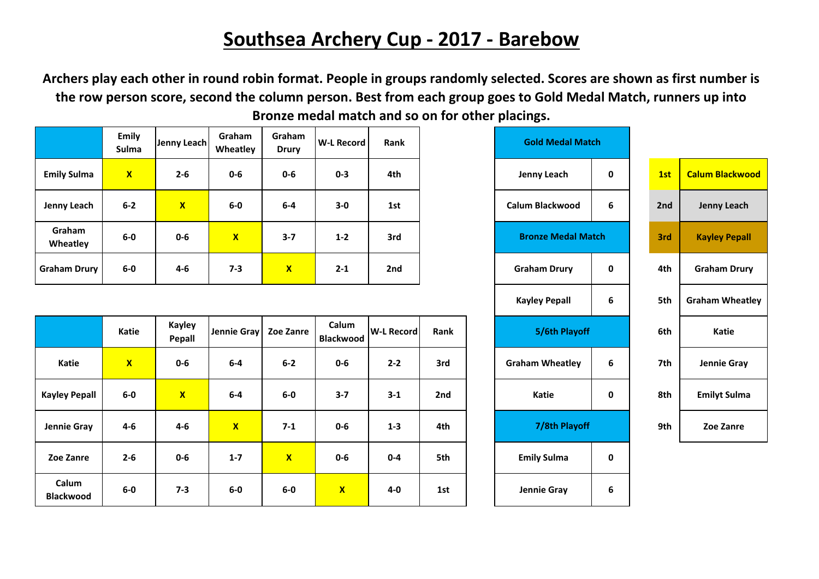## **Southsea Archery Cup - 2017 - Barebow**

**Archers play each other in round robin format. People in groups randomly selected. Scores are shown as first number is the row person score, second the column person. Best from each group goes to Gold Medal Match, runners up into Bronze medal match and so on for other placings.**

|                     | Emily<br>Sulma | Jenny Leach  | Graham<br>Wheatley | Graham<br><b>Drury</b> | <b>W-L Record</b> | Rank | <b>Gold Medal Match</b>   |   |  |     |                        |
|---------------------|----------------|--------------|--------------------|------------------------|-------------------|------|---------------------------|---|--|-----|------------------------|
| <b>Emily Sulma</b>  | $\mathbf{x}$   | $2 - 6$      | $0 - 6$            | $0 - 6$                | $0 - 3$           | 4th  | 0<br>Jenny Leach          |   |  | 1st | <b>Calum Blackwood</b> |
| Jenny Leach         | $6 - 2$        | $\mathbf{x}$ | $6-0$              | $6-4$                  | $3-0$             | 1st  | Calum Blackwood<br>6      |   |  | 2nd | Jenny Leach            |
| Graham<br>Wheatley  | $6-0$          | $0 - 6$      | $\mathbf{x}$       | $3 - 7$                | $1 - 2$           | 3rd  | <b>Bronze Medal Match</b> |   |  | 3rd | <b>Kayley Pepall</b>   |
| <b>Graham Drury</b> | $6-0$          | $4 - 6$      | $7 - 3$            | $\mathbf{x}$           | $2 - 1$           | 2nd  | <b>Graham Drury</b>       | 0 |  | 4th | <b>Graham Drury</b>    |

|                           | Katie        | <b>Kayley</b><br>Pepall | Jennie Gray   Zoe Zanre |                           | Calum<br><b>Blackwood</b> | <b>W-L Record</b> | Rank | 5/6th Playoff               |             | 6th | Katie               |
|---------------------------|--------------|-------------------------|-------------------------|---------------------------|---------------------------|-------------------|------|-----------------------------|-------------|-----|---------------------|
| Katie                     | $\mathbf{x}$ | $0-6$                   | $6-4$                   | $6 - 2$                   | $0-6$                     | $2 - 2$           | 3rd  | 6<br><b>Graham Wheatley</b> |             | 7th | Jennie Gray         |
| <b>Kayley Pepall</b>      | $6-0$        | $\overline{\mathbf{X}}$ | $6-4$                   | $6-0$                     | $3 - 7$                   | $3 - 1$           | 2nd  | Katie                       | $\mathbf 0$ | 8th | <b>Emilyt Sulma</b> |
| Jennie Gray               | $4-6$        | $4-6$                   | $\mathbf{x}$            | $7-1$                     | $0 - 6$                   | $1 - 3$           | 4th  | 7/8th Playoff               |             | 9th | Zoe Zanre           |
| Zoe Zanre                 | $2 - 6$      | $0-6$                   | $1 - 7$                 | $\boldsymbol{\mathsf{x}}$ | $0 - 6$                   | $0 - 4$           | 5th  | <b>Emily Sulma</b>          | 0           |     |                     |
| Calum<br><b>Blackwood</b> | $6-0$        | $7 - 3$                 | $6-0$                   | $6-0$                     | $\mathbf{X}$              | 4-0               | 1st  | Jennie Gray                 | 6           |     |                     |

| <b>W-L Record</b>         | Rank              |      | <b>Gold Medal Match</b> |                           |             |     |                        |
|---------------------------|-------------------|------|-------------------------|---------------------------|-------------|-----|------------------------|
| $0 - 3$                   | 4th               |      |                         | <b>Jenny Leach</b>        | $\mathbf 0$ | 1st | <b>Calum Blackwood</b> |
| $3-0$                     | 1st               |      |                         | <b>Calum Blackwood</b>    | 6           | 2nd | <b>Jenny Leach</b>     |
| $1 - 2$                   | 3rd               |      |                         | <b>Bronze Medal Match</b> |             | 3rd | <b>Kayley Pepall</b>   |
| $2 - 1$                   | 2nd               |      |                         | <b>Graham Drury</b>       | $\mathbf 0$ | 4th | <b>Graham Drury</b>    |
|                           |                   |      |                         | <b>Kayley Pepall</b>      | 6           | 5th | <b>Graham Wheatley</b> |
| Calum<br><b>Blackwood</b> | <b>W-L Record</b> | Rank |                         | 5/6th Playoff             |             | 6th | <b>Katie</b>           |
| $0 - 6$                   | $2 - 2$           | 3rd  |                         | <b>Graham Wheatley</b>    | 6           | 7th | Jennie Gray            |
| $3 - 7$                   | $3 - 1$           | 2nd  |                         | <b>Katie</b>              | $\mathbf 0$ | 8th | <b>Emilyt Sulma</b>    |
| $0-6$                     | $1 - 3$           | 4th  |                         | 7/8th Playoff             |             | 9th | Zoe Zanre              |
| $0 - 6$                   | $0 - 4$           | 5th  |                         | <b>Emily Sulma</b>        | 0           |     |                        |
|                           |                   |      |                         |                           |             |     |                        |